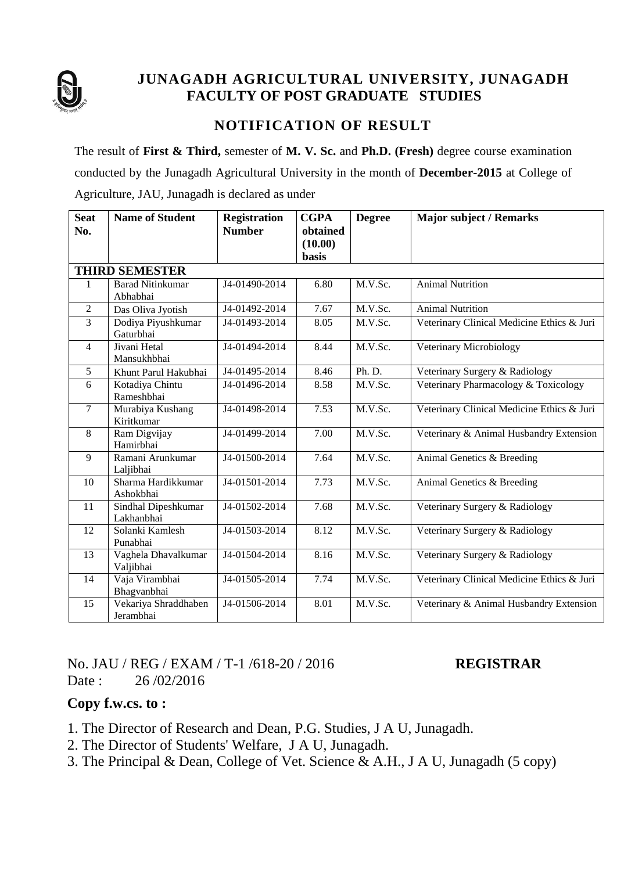

# **JUNAGADH AGRICULTURAL UNIVERSITY, JUNAGADH FACULTY OF POST GRADUATE STUDIES**

## **NOTIFICATION OF RESULT**

The result of **First & Third,** semester of **M. V. Sc.** and **Ph.D. (Fresh)** degree course examination conducted by the Junagadh Agricultural University in the month of **December-2015** at College of Agriculture, JAU, Junagadh is declared as under

| <b>Seat</b>           | <b>Name of Student</b>              | <b>Registration</b> | <b>CGPA</b>  | <b>Degree</b> | <b>Major subject / Remarks</b>             |  |  |  |  |  |
|-----------------------|-------------------------------------|---------------------|--------------|---------------|--------------------------------------------|--|--|--|--|--|
| No.                   |                                     | <b>Number</b>       | obtained     |               |                                            |  |  |  |  |  |
|                       |                                     |                     | (10.00)      |               |                                            |  |  |  |  |  |
|                       |                                     |                     | <b>basis</b> |               |                                            |  |  |  |  |  |
| <b>THIRD SEMESTER</b> |                                     |                     |              |               |                                            |  |  |  |  |  |
| 1                     | <b>Barad Nitinkumar</b><br>Abhabhai | J4-01490-2014       | 6.80         | M.V.Sc.       | <b>Animal Nutrition</b>                    |  |  |  |  |  |
| $\mathfrak{2}$        | Das Oliva Jyotish                   | J4-01492-2014       | 7.67         | M.V.Sc.       | <b>Animal Nutrition</b>                    |  |  |  |  |  |
| 3                     | Dodiya Piyushkumar<br>Gaturbhai     | J4-01493-2014       | 8.05         | M.V.Sc.       | Veterinary Clinical Medicine Ethics & Juri |  |  |  |  |  |
| $\overline{4}$        | Jivani Hetal<br>Mansukhbhai         | J4-01494-2014       | 8.44         | M.V.Sc.       | Veterinary Microbiology                    |  |  |  |  |  |
| 5                     | Khunt Parul Hakubhai                | J4-01495-2014       | 8.46         | Ph. D.        | Veterinary Surgery & Radiology             |  |  |  |  |  |
| 6                     | Kotadiya Chintu<br>Rameshbhai       | J4-01496-2014       | 8.58         | M.V.Sc.       | Veterinary Pharmacology & Toxicology       |  |  |  |  |  |
| $\tau$                | Murabiya Kushang<br>Kiritkumar      | J4-01498-2014       | 7.53         | M.V.Sc.       | Veterinary Clinical Medicine Ethics & Juri |  |  |  |  |  |
| 8                     | Ram Digvijay<br>Hamirbhai           | J4-01499-2014       | 7.00         | M.V.Sc.       | Veterinary & Animal Husbandry Extension    |  |  |  |  |  |
| 9                     | Ramani Arunkumar<br>Laljibhai       | J4-01500-2014       | 7.64         | M.V.Sc.       | Animal Genetics & Breeding                 |  |  |  |  |  |
| 10                    | Sharma Hardikkumar<br>Ashokbhai     | J4-01501-2014       | 7.73         | M.V.Sc.       | Animal Genetics & Breeding                 |  |  |  |  |  |
| 11                    | Sindhal Dipeshkumar<br>Lakhanbhai   | J4-01502-2014       | 7.68         | M.V.Sc.       | Veterinary Surgery & Radiology             |  |  |  |  |  |
| 12                    | Solanki Kamlesh<br>Punabhai         | J4-01503-2014       | 8.12         | M.V.Sc.       | Veterinary Surgery & Radiology             |  |  |  |  |  |
| 13                    | Vaghela Dhavalkumar<br>Valjibhai    | J4-01504-2014       | 8.16         | M.V.Sc.       | Veterinary Surgery & Radiology             |  |  |  |  |  |
| 14                    | Vaja Virambhai<br>Bhagvanbhai       | J4-01505-2014       | 7.74         | M.V.Sc.       | Veterinary Clinical Medicine Ethics & Juri |  |  |  |  |  |
| 15                    | Vekariya Shraddhaben<br>Jerambhai   | J4-01506-2014       | 8.01         | M.V.Sc.       | Veterinary & Animal Husbandry Extension    |  |  |  |  |  |

No. JAU / REG / EXAM / T-1 /618-20 / 2016 **REGISTRAR** Date : 26/02/2016

#### **Copy f.w.cs. to :**

1. The Director of Research and Dean, P.G. Studies, J A U, Junagadh.

2. The Director of Students' Welfare, J A U, Junagadh.

3. The Principal & Dean, College of Vet. Science & A.H., J A U, Junagadh (5 copy)